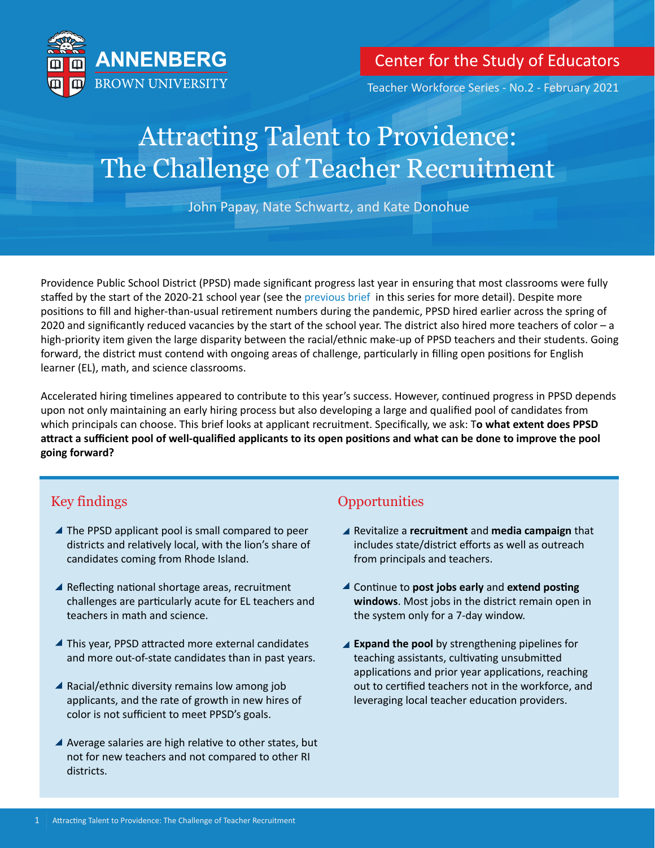

# Center for the Study of Educators

Teacher Workforce Series - No.2 - February 2021

# Attracting Talent to Providence: The Challenge of Teacher Recruitment

John Papay, Nate Schwartz, and Kate Donohue

Providence Public School District (PPSD) made significant progress last year in ensuring that most classrooms were fully staffed by the start of the 2020-21 school year (see th[e previous brief in](https://annenberg.brown.edu/educators/staffing-schools) this series for more detail). Despite more positions to fill and higher-than-usual retirement numbers during the pandemic, PPSD hired earlier across the spring of 2020 and significantly reduced vacancies by the start of the school year. The district also hired more teachers of color – a high-priority item given the large disparity between the racial/ethnic make-up of PPSD teachers and their students. Going forward, the district must contend with ongoing areas of challenge, particularly in filling open positions for English learner (EL), math, and science classrooms.

Accelerated hiring timelines appeared to contribute to this year's success. However, continued progress in PPSD depends upon not only maintaining an early hiring process but also developing a large and qualified pool of candidates from which principals can choose. This brief looks at applicant recruitment. Specifically, we ask: T**o what extent does PPSD aƩract a sufficient pool of well-qualified applicants to its open posiƟons and what can be done to improve the pool going forward?** 

# Key findings

- $\blacktriangle$  The PPSD applicant pool is small compared to peer districts and relatively local, with the lion's share of candidates coming from Rhode Island.
- $\blacktriangle$  Reflecting national shortage areas, recruitment challenges are particularly acute for EL teachers and teachers in math and science.
- $\blacktriangle$  This year, PPSD attracted more external candidates and more out-of-state candidates than in past years.
- $\blacktriangle$  Racial/ethnic diversity remains low among job applicants, and the rate of growth in new hires of color is not sufficient to meet PPSD's goals.
- A Average salaries are high relative to other states, but not for new teachers and not compared to other RI districts.

# **Opportunities**

- Revitalize a **recruitment** and **media campaign** that includes state/district efforts as well as outreach from principals and teachers.
- A Continue to **post jobs early** and **extend posting windows**. Most jobs in the district remain open in the system only for a 7-day window.
- **Expand the pool** by strengthening pipelines for teaching assistants, cultivating unsubmitted applications and prior year applications, reaching out to certified teachers not in the workforce, and leveraging local teacher education providers.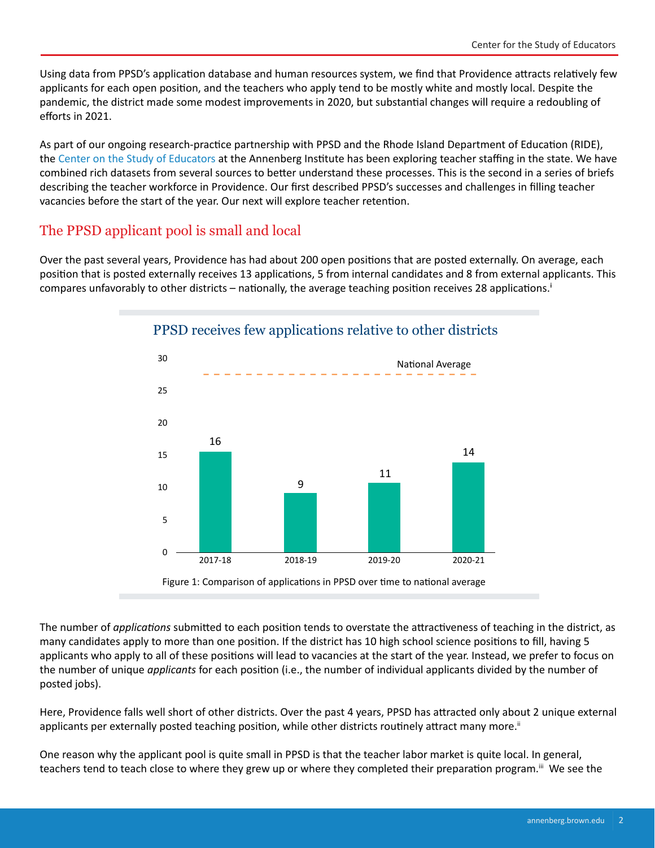Using data from PPSD's application database and human resources system, we find that Providence attracts relatively few applicants for each open position, and the teachers who apply tend to be mostly white and mostly local. Despite the pandemic, the district made some modest improvements in 2020, but substantial changes will require a redoubling of efforts in 2021.

As part of our ongoing research-practice partnership with PPSD and the Rhode Island Department of Education (RIDE), th[e Center on the Study of Educators a](https://annenberg.brown.edu/educators)t the Annenberg Institute has been exploring teacher staffing in the state. We have combined rich datasets from several sources to better understand these processes. This is the second in a series of briefs describing the teacher workforce in Providence. Our first described PPSD's successes and challenges in filling teacher vacancies before the start of the year. Our next will explore teacher retention.

# The PPSD applicant pool is small and local

Over the past several years, Providence has had about 200 open positions that are posted externally. On average, each position that is posted externally receives 13 applications, 5 from internal candidates and 8 from external applicants. This compares unfavorably to other districts – nationally, the average teaching position receives 28 applications.<sup>1</sup>



#### PPSD receives few applications relative to other districts

Figure 1: Comparison of applications in PPSD over time to national average

The number of *applications* submitted to each position tends to overstate the attractiveness of teaching in the district, as many candidates apply to more than one position. If the district has 10 high school science positions to fill, having 5 applicants who apply to all of these positions will lead to vacancies at the start of the year. Instead, we prefer to focus on the number of unique *applicants* for each position (i.e., the number of individual applicants divided by the number of posted jobs).

Here, Providence falls well short of other districts. Over the past 4 years, PPSD has attracted only about 2 unique external applicants per externally posted teaching position, while other districts routinely attract many more.<sup>ii</sup>

One reason why the applicant pool is quite small in PPSD is that the teacher labor market is quite local. In general, teachers tend to teach close to where they grew up or where they completed their preparation program.<sup>iii</sup> We see the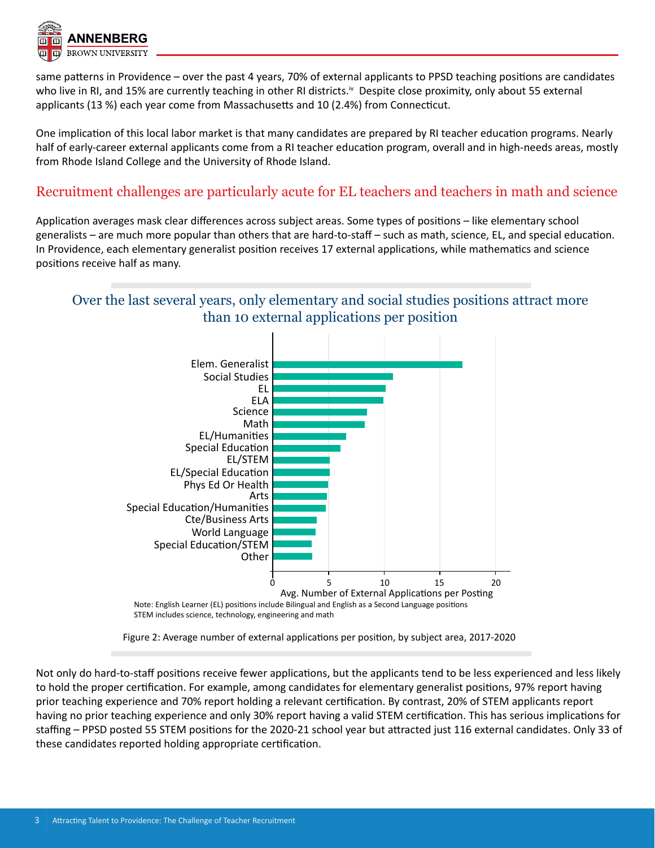

same patterns in Providence – over the past 4 years, 70% of external applicants to PPSD teaching positions are candidates who live in RI, and 15% are currently teaching in other RI districts.<sup>iv</sup> Despite close proximity, only about 55 external applicants (13 %) each year come from Massachusetts and 10 (2.4%) from Connecticut.

One implication of this local labor market is that many candidates are prepared by RI teacher education programs. Nearly half of early-career external applicants come from a RI teacher education program, overall and in high-needs areas, mostly from Rhode Island College and the University of Rhode Island.

#### Recruitment challenges are particularly acute for EL teachers and teachers in math and science

Application averages mask clear differences across subject areas. Some types of positions – like elementary school generalists – are much more popular than others that are hard-to-staff – such as math, science, EL, and special education. In Providence, each elementary generalist position receives 17 external applications, while mathematics and science positions receive half as many.

# Over the last several years, only elementary and social studies positions attract more than 10 external applications per position



Figure 2: Average number of external applications per position, by subject area, 2017-2020

Not only do hard-to-staff positions receive fewer applications, but the applicants tend to be less experienced and less likely to hold the proper certification. For example, among candidates for elementary generalist positions, 97% report having prior teaching experience and 70% report holding a relevant certification. By contrast, 20% of STEM applicants report having no prior teaching experience and only 30% report having a valid STEM certification. This has serious implications for staffing – PPSD posted 55 STEM positions for the 2020-21 school year but attracted just 116 external candidates. Only 33 of these candidates reported holding appropriate certification.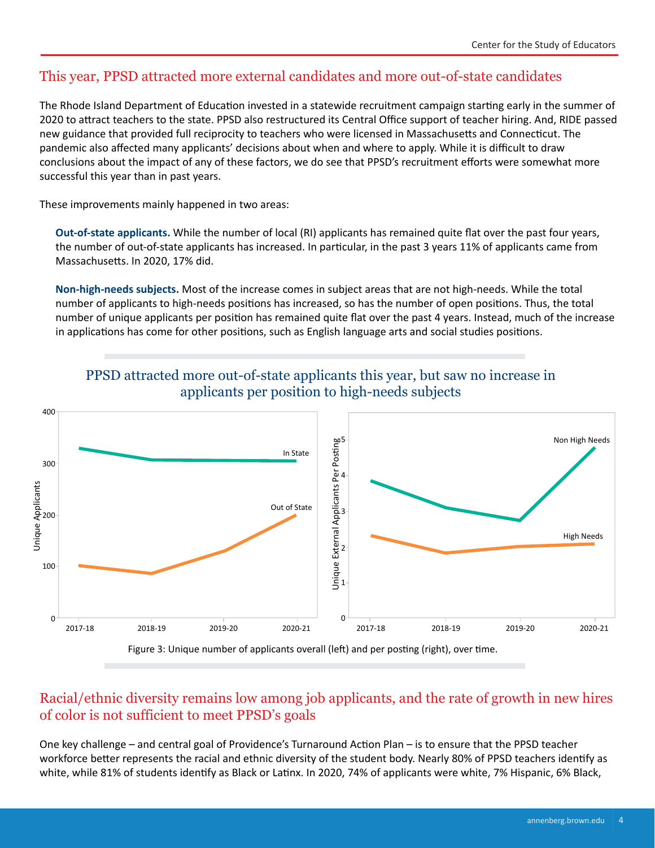# This year, PPSD attracted more external candidates and more out-of-state candidates

The Rhode Island Department of Education invested in a statewide recruitment campaign starting early in the summer of 2020 to attract teachers to the state. PPSD also restructured its Central Office support of teacher hiring. And, RIDE passed new guidance that provided full reciprocity to teachers who were licensed in Massachusetts and Connecticut. The pandemic also affected many applicants' decisions about when and where to apply. While it is difficult to draw conclusions about the impact of any of these factors, we do see that PPSD's recruitment efforts were somewhat more successful this year than in past years.

These improvements mainly happened in two areas:

**Out-of-state applicants.** While the number of local (RI) applicants has remained quite flat over the past four years, the number of out-of-state applicants has increased. In particular, in the past 3 years 11% of applicants came from Massachusetts. In 2020, 17% did.

**Non-high-needs subjects.** Most of the increase comes in subject areas that are not high-needs. While the total number of applicants to high-needs positions has increased, so has the number of open positions. Thus, the total number of unique applicants per position has remained quite flat over the past 4 years. Instead, much of the increase in applications has come for other positions, such as English language arts and social studies positions.



PPSD attracted more out-of-state applicants this year, but saw no increase in applicants per position to high-needs subjects

Figure 3: Unique number of applicants overall (left) and per posting (right), over time.

# Racial/ethnic diversity remains low among job applicants, and the rate of growth in new hires of color is not sufficient to meet PPSD's goals

One key challenge – and central goal of Providence's Turnaround Action Plan – is to ensure that the PPSD teacher workforce better represents the racial and ethnic diversity of the student body. Nearly 80% of PPSD teachers identify as white, while 81% of students identify as Black or Latinx. In 2020, 74% of applicants were white, 7% Hispanic, 6% Black,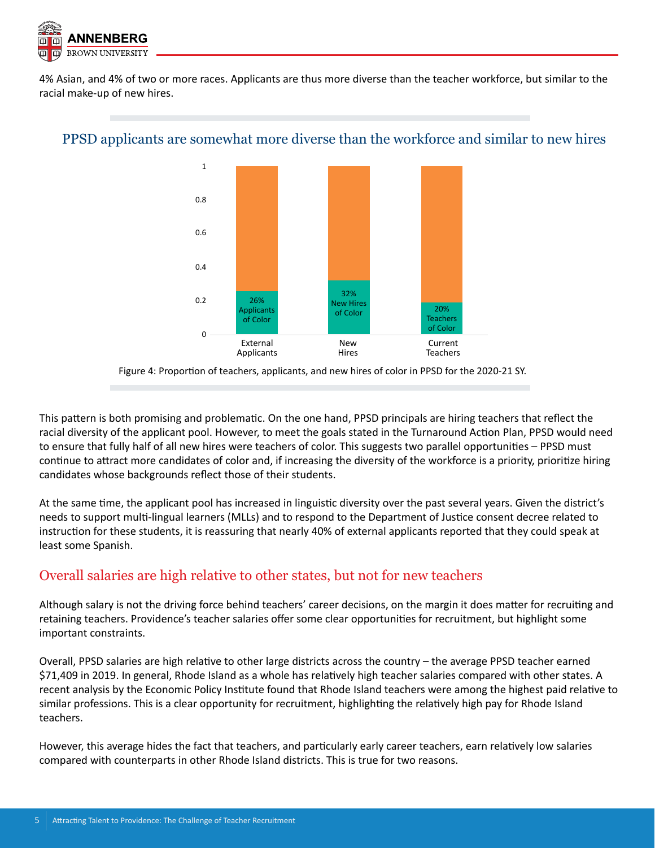

4% Asian, and 4% of two or more races. Applicants are thus more diverse than the teacher workforce, but similar to the racial make-up of new hires.



#### PPSD applicants are somewhat more diverse than the workforce and similar to new hires

Figure 4: Proportion of teachers, applicants, and new hires of color in PPSD for the 2020-21 SY.

This pattern is both promising and problematic. On the one hand, PPSD principals are hiring teachers that reflect the racial diversity of the applicant pool. However, to meet the goals stated in the Turnaround Action Plan, PPSD would need to ensure that fully half of all new hires were teachers of color. This suggests two parallel opportunities – PPSD must continue to attract more candidates of color and, if increasing the diversity of the workforce is a priority, prioritize hiring candidates whose backgrounds reflect those of their students.

At the same time, the applicant pool has increased in linguistic diversity over the past several years. Given the district's needs to support multi-lingual learners (MLLs) and to respond to the Department of Justice consent decree related to instruction for these students, it is reassuring that nearly 40% of external applicants reported that they could speak at least some Spanish.

# Overall salaries are high relative to other states, but not for new teachers

Although salary is not the driving force behind teachers' career decisions, on the margin it does matter for recruiting and retaining teachers. Providence's teacher salaries offer some clear opportunities for recruitment, but highlight some important constraints.

Overall, PPSD salaries are high relative to other large districts across the country – the average PPSD teacher earned \$71,409 in 2019. In general, Rhode Island as a whole has relatively high teacher salaries compared with other states. A recent analysis by the Economic Policy Institute found that Rhode Island teachers were among the highest paid relative to similar professions. This is a clear opportunity for recruitment, highlighting the relatively high pay for Rhode Island teachers.

However, this average hides the fact that teachers, and particularly early career teachers, earn relatively low salaries compared with counterparts in other Rhode Island districts. This is true for two reasons.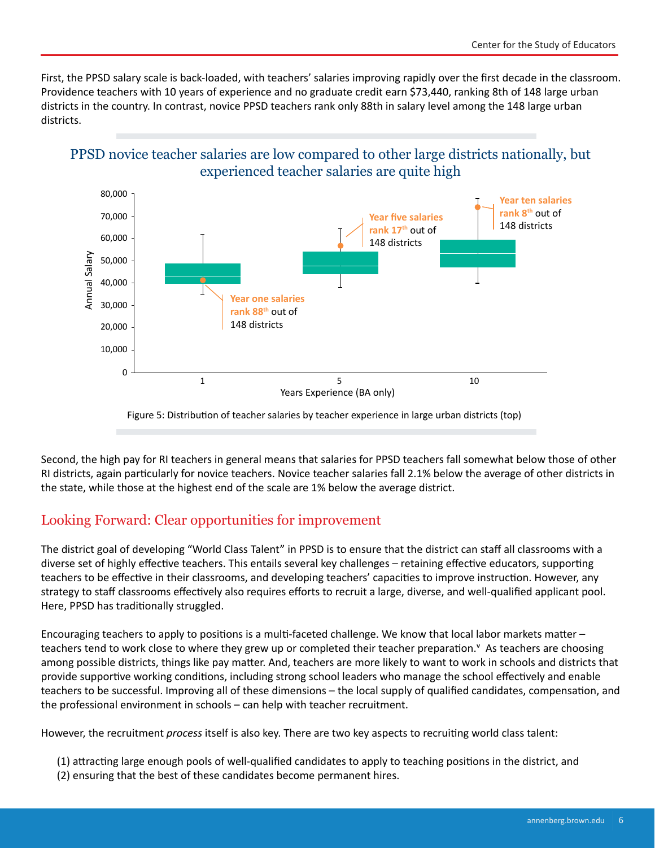First, the PPSD salary scale is back-loaded, with teachers' salaries improving rapidly over the first decade in the classroom. Providence teachers with 10 years of experience and no graduate credit earn \$73,440, ranking 8th of 148 large urban districts in the country. In contrast, novice PPSD teachers rank only 88th in salary level among the 148 large urban districts.





Second, the high pay for RI teachers in general means that salaries for PPSD teachers fall somewhat below those of other RI districts, again particularly for novice teachers. Novice teacher salaries fall 2.1% below the average of other districts in the state, while those at the highest end of the scale are 1% below the average district.

# Looking Forward: Clear opportunities for improvement

The district goal of developing "World Class Talent" in PPSD is to ensure that the district can staff all classrooms with a diverse set of highly effective teachers. This entails several key challenges - retaining effective educators, supporting teachers to be effective in their classrooms, and developing teachers' capacities to improve instruction. However, any strategy to staff classrooms effectively also requires efforts to recruit a large, diverse, and well-qualified applicant pool. Here, PPSD has traditionally struggled.

Encouraging teachers to apply to positions is a multi-faceted challenge. We know that local labor markets matter teachers tend to work close to where they grew up or completed their teacher preparation.<sup>Y</sup> As teachers are choosing among possible districts, things like pay matter. And, teachers are more likely to want to work in schools and districts that provide supportive working conditions, including strong school leaders who manage the school effectively and enable teachers to be successful. Improving all of these dimensions - the local supply of qualified candidates, compensation, and the professional environment in schools – can help with teacher recruitment.

However, the recruitment *process* itself is also key. There are two key aspects to recruiting world class talent:

- (1) attracting large enough pools of well-qualified candidates to apply to teaching positions in the district, and
- (2) ensuring that the best of these candidates become permanent hires.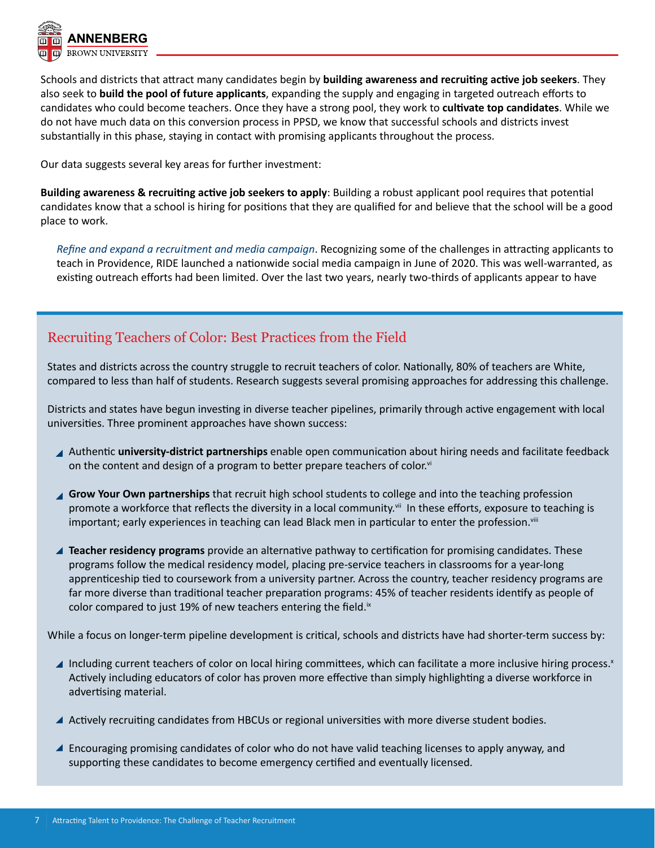

Schools and districts that aƩract many candidates begin by **building awareness and recruiƟng acƟve job seekers**. They also seek to **build the pool of future applicants**, expanding the supply and engaging in targeted outreach efforts to candidates who could become teachers. Once they have a strong pool, they work to cultivate top candidates. While we do not have much data on this conversion process in PPSD, we know that successful schools and districts invest substantially in this phase, staying in contact with promising applicants throughout the process.

Our data suggests several key areas for further investment:

**Building awareness & recruiting active job seekers to apply: Building a robust applicant pool requires that potential** candidates know that a school is hiring for positions that they are qualified for and believe that the school will be a good place to work.

*Refine and expand a recruitment and media campaign*. Recognizing some of the challenges in attracting applicants to teach in Providence, RIDE launched a nationwide social media campaign in June of 2020. This was well-warranted, as existing outreach efforts had been limited. Over the last two years, nearly two-thirds of applicants appear to have

# Recruiting Teachers of Color: Best Practices from the Field

States and districts across the country struggle to recruit teachers of color. Nationally, 80% of teachers are White, compared to less than half of students. Research suggests several promising approaches for addressing this challenge.

Districts and states have begun investing in diverse teacher pipelines, primarily through active engagement with local universities. Three prominent approaches have shown success:

- Authentic **university-district partnerships** enable open communication about hiring needs and facilitate feedback on the content and design of a program to better prepare teachers of color. $\vec{v}$
- **Grow Your Own partnerships** that recruit high school students to college and into the teaching profession promote a workforce that reflects the diversity in a local community.<sup>vii</sup> In these efforts, exposure to teaching is important; early experiences in teaching can lead Black men in particular to enter the profession.<sup>viii</sup>
- Teacher residency programs provide an alternative pathway to certification for promising candidates. These programs follow the medical residency model, placing pre-service teachers in classrooms for a year-long apprenticeship tied to coursework from a university partner. Across the country, teacher residency programs are far more diverse than traditional teacher preparation programs: 45% of teacher residents identify as people of color compared to just 19% of new teachers entering the field.<sup>ix</sup>

While a focus on longer-term pipeline development is critical, schools and districts have had shorter-term success by:

- Including current teachers of color on local hiring committees, which can facilitate a more inclusive hiring process.x Actively including educators of color has proven more effective than simply highlighting a diverse workforce in advertising material.
- ▲ Actively recruiting candidates from HBCUs or regional universities with more diverse student bodies.
- ▲ Encouraging promising candidates of color who do not have valid teaching licenses to apply anyway, and supporting these candidates to become emergency certified and eventually licensed.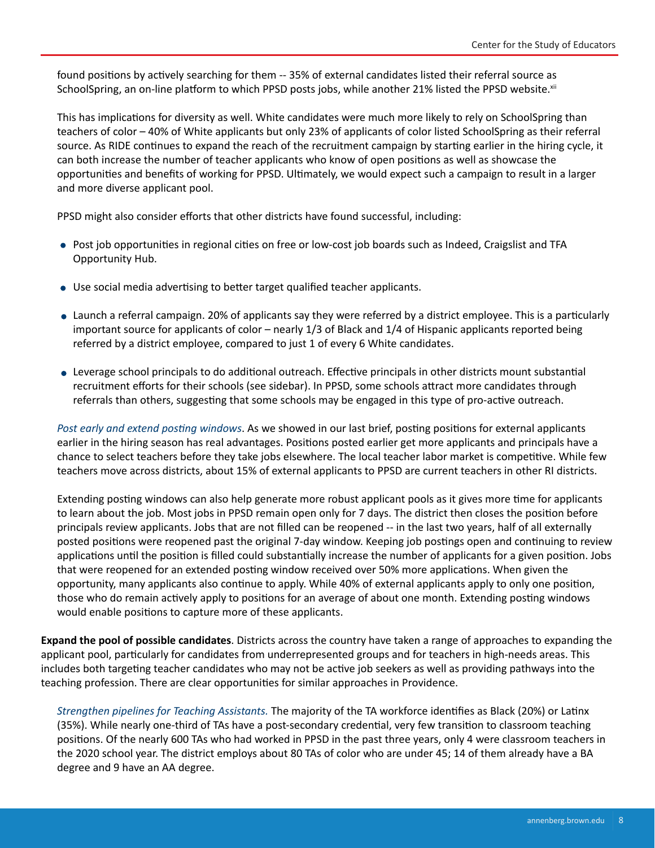found positions by actively searching for them -- 35% of external candidates listed their referral source as SchoolSpring, an on-line platform to which PPSD posts jobs, while another 21% listed the PPSD website.<sup>xii</sup>

This has implications for diversity as well. White candidates were much more likely to rely on SchoolSpring than teachers of color – 40% of White applicants but only 23% of applicants of color listed SchoolSpring as their referral source. As RIDE continues to expand the reach of the recruitment campaign by starting earlier in the hiring cycle, it can both increase the number of teacher applicants who know of open positions as well as showcase the opportunities and benefits of working for PPSD. Ultimately, we would expect such a campaign to result in a larger and more diverse applicant pool.

PPSD might also consider efforts that other districts have found successful, including:

- Post job opportunities in regional cities on free or low-cost job boards such as Indeed, Craigslist and TFA Opportunity Hub.
- Use social media advertising to better target qualified teacher applicants.
- Launch a referral campaign. 20% of applicants say they were referred by a district employee. This is a particularly important source for applicants of color – nearly 1/3 of Black and 1/4 of Hispanic applicants reported being referred by a district employee, compared to just 1 of every 6 White candidates.
- Leverage school principals to do additional outreach. Effective principals in other districts mount substantial recruitment efforts for their schools (see sidebar). In PPSD, some schools attract more candidates through referrals than others, suggesting that some schools may be engaged in this type of pro-active outreach.

*Post early and extend posting windows*. As we showed in our last brief, posting positions for external applicants earlier in the hiring season has real advantages. Positions posted earlier get more applicants and principals have a chance to select teachers before they take jobs elsewhere. The local teacher labor market is competitive. While few teachers move across districts, about 15% of external applicants to PPSD are current teachers in other RI districts.

Extending posting windows can also help generate more robust applicant pools as it gives more time for applicants to learn about the job. Most jobs in PPSD remain open only for 7 days. The district then closes the position before principals review applicants. Jobs that are not filled can be reopened -- in the last two years, half of all externally posted positions were reopened past the original 7-day window. Keeping job postings open and continuing to review applications until the position is filled could substantially increase the number of applicants for a given position. Jobs that were reopened for an extended posting window received over 50% more applications. When given the opportunity, many applicants also continue to apply. While 40% of external applicants apply to only one position, those who do remain actively apply to positions for an average of about one month. Extending posting windows would enable positions to capture more of these applicants.

**Expand the pool of possible candidates**. Districts across the country have taken a range of approaches to expanding the applicant pool, particularly for candidates from underrepresented groups and for teachers in high-needs areas. This includes both targeting teacher candidates who may not be active job seekers as well as providing pathways into the teaching profession. There are clear opportunities for similar approaches in Providence.

*Strengthen pipelines for Teaching Assistants.* The majority of the TA workforce identifies as Black (20%) or Latinx (35%). While nearly one-third of TAs have a post-secondary credential, very few transition to classroom teaching positions. Of the nearly 600 TAs who had worked in PPSD in the past three years, only 4 were classroom teachers in the 2020 school year. The district employs about 80 TAs of color who are under 45; 14 of them already have a BA degree and 9 have an AA degree.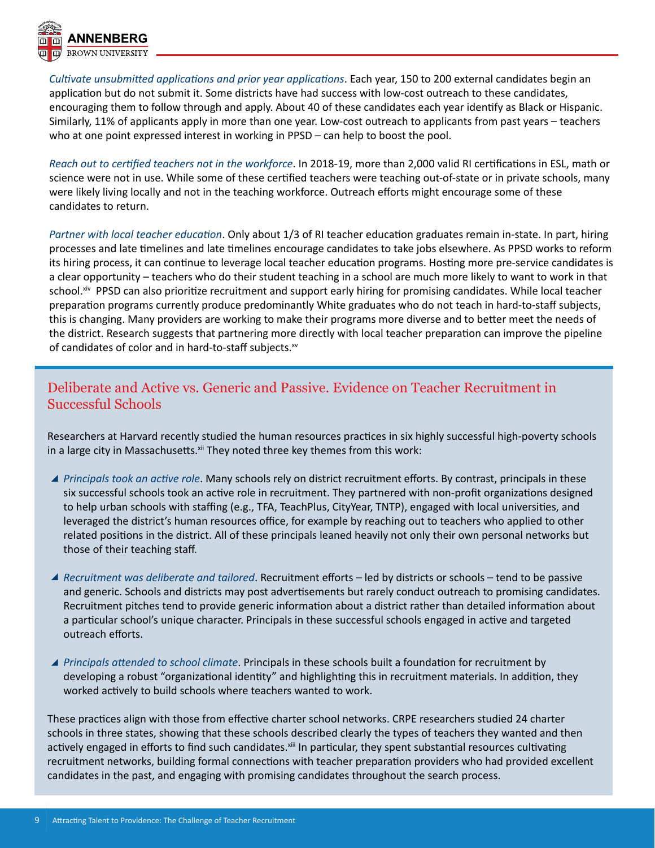

*CulƟvate unsubmiƩed applicaƟons and prior year applicaƟons*. Each year, 150 to 200 external candidates begin an application but do not submit it. Some districts have had success with low-cost outreach to these candidates, encouraging them to follow through and apply. About 40 of these candidates each year identify as Black or Hispanic. Similarly, 11% of applicants apply in more than one year. Low-cost outreach to applicants from past years – teachers who at one point expressed interest in working in PPSD – can help to boost the pool.

*Reach out to cerƟfied teachers not in the workforce*. In 2018-19, more than 2,000 valid RI cerƟficaƟons in ESL, math or science were not in use. While some of these certified teachers were teaching out-of-state or in private schools, many were likely living locally and not in the teaching workforce. Outreach efforts might encourage some of these candidates to return.

*Partner with local teacher education*. Only about 1/3 of RI teacher education graduates remain in-state. In part, hiring processes and late timelines and late timelines encourage candidates to take jobs elsewhere. As PPSD works to reform its hiring process, it can continue to leverage local teacher education programs. Hosting more pre-service candidates is a clear opportunity – teachers who do their student teaching in a school are much more likely to want to work in that school.<sup>xiv</sup> PPSD can also prioritize recruitment and support early hiring for promising candidates. While local teacher preparation programs currently produce predominantly White graduates who do not teach in hard-to-staff subjects, this is changing. Many providers are working to make their programs more diverse and to better meet the needs of the district. Research suggests that partnering more directly with local teacher preparation can improve the pipeline of candidates of color and in hard-to-staff subjects.xv

# Deliberate and Active vs. Generic and Passive. Evidence on Teacher Recruitment in Successful Schools

Researchers at Harvard recently studied the human resources practices in six highly successful high-poverty schools in a large city in Massachusetts.<sup>xii</sup> They noted three key themes from this work:

- *A Principals took an active role*. Many schools rely on district recruitment efforts. By contrast, principals in these six successful schools took an active role in recruitment. They partnered with non-profit organizations designed to help urban schools with staffing (e.g., TFA, TeachPlus, CityYear, TNTP), engaged with local universities, and leveraged the district's human resources office, for example by reaching out to teachers who applied to other related positions in the district. All of these principals leaned heavily not only their own personal networks but those of their teaching staff.
- *Recruitment was deliberate and tailored*. Recruitment efforts led by districts or schools tend to be passive and generic. Schools and districts may post advertisements but rarely conduct outreach to promising candidates. Recruitment pitches tend to provide generic information about a district rather than detailed information about a particular school's unique character. Principals in these successful schools engaged in active and targeted outreach efforts.
- ▲ Principals attended to school climate. Principals in these schools built a foundation for recruitment by developing a robust "organizational identity" and highlighting this in recruitment materials. In addition, they worked actively to build schools where teachers wanted to work.

These practices align with those from effective charter school networks. CRPE researchers studied 24 charter schools in three states, showing that these schools described clearly the types of teachers they wanted and then actively engaged in efforts to find such candidates.<sup>xiii</sup> In particular, they spent substantial resources cultivating recruitment networks, building formal connections with teacher preparation providers who had provided excellent candidates in the past, and engaging with promising candidates throughout the search process.